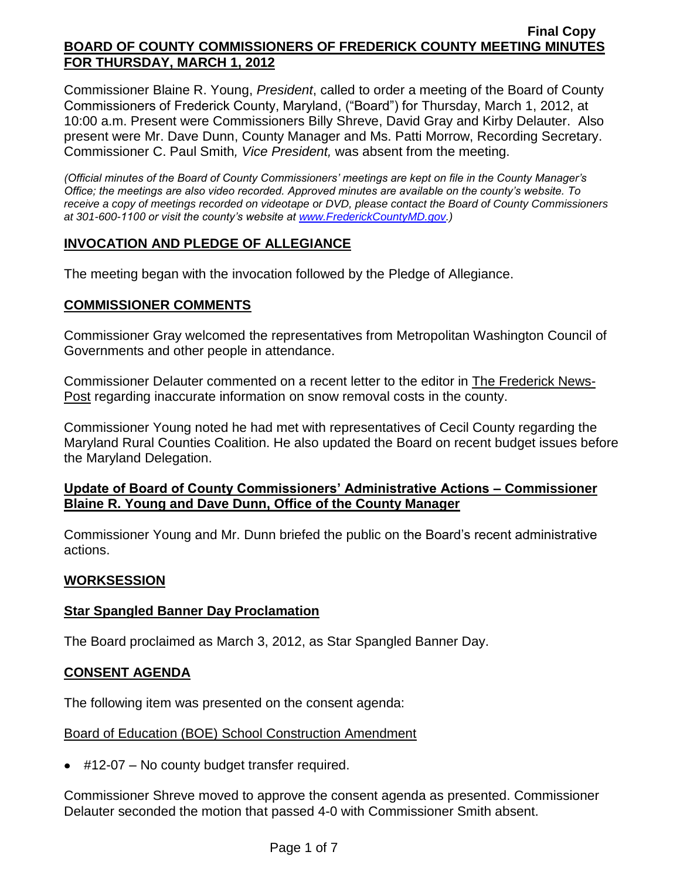Commissioner Blaine R. Young, *President*, called to order a meeting of the Board of County Commissioners of Frederick County, Maryland, ("Board") for Thursday, March 1, 2012, at 10:00 a.m. Present were Commissioners Billy Shreve, David Gray and Kirby Delauter. Also present were Mr. Dave Dunn, County Manager and Ms. Patti Morrow, Recording Secretary. Commissioner C. Paul Smith*, Vice President,* was absent from the meeting.

*(Official minutes of the Board of County Commissioners' meetings are kept on file in the County Manager's Office; the meetings are also video recorded. Approved minutes are available on the county's website. To receive a copy of meetings recorded on videotape or DVD, please contact the Board of County Commissioners at 301-600-1100 or visit the county's website at [www.FrederickCountyMD.gov.](http://www.frederickcountymd.gov/))*

## **INVOCATION AND PLEDGE OF ALLEGIANCE**

The meeting began with the invocation followed by the Pledge of Allegiance.

### **COMMISSIONER COMMENTS**

Commissioner Gray welcomed the representatives from Metropolitan Washington Council of Governments and other people in attendance.

Commissioner Delauter commented on a recent letter to the editor in The Frederick News-Post regarding inaccurate information on snow removal costs in the county.

Commissioner Young noted he had met with representatives of Cecil County regarding the Maryland Rural Counties Coalition. He also updated the Board on recent budget issues before the Maryland Delegation.

### **Update of Board of County Commissioners' Administrative Actions – Commissioner Blaine R. Young and Dave Dunn, Office of the County Manager**

Commissioner Young and Mr. Dunn briefed the public on the Board's recent administrative actions.

# **WORKSESSION**

### **Star Spangled Banner Day Proclamation**

The Board proclaimed as March 3, 2012, as Star Spangled Banner Day.

### **CONSENT AGENDA**

The following item was presented on the consent agenda:

### Board of Education (BOE) School Construction Amendment

● #12-07 – No county budget transfer required.

Commissioner Shreve moved to approve the consent agenda as presented. Commissioner Delauter seconded the motion that passed 4-0 with Commissioner Smith absent.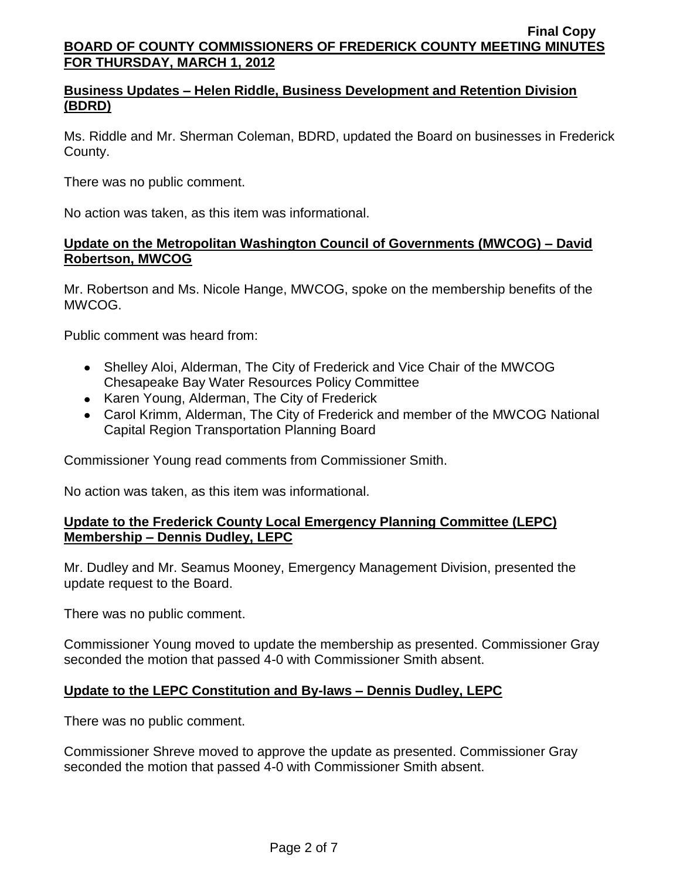## **Business Updates – Helen Riddle, Business Development and Retention Division (BDRD)**

Ms. Riddle and Mr. Sherman Coleman, BDRD, updated the Board on businesses in Frederick County.

There was no public comment.

No action was taken, as this item was informational.

### **Update on the Metropolitan Washington Council of Governments (MWCOG) – David Robertson, MWCOG**

Mr. Robertson and Ms. Nicole Hange, MWCOG, spoke on the membership benefits of the MWCOG.

Public comment was heard from:

- Shelley Aloi, Alderman, The City of Frederick and Vice Chair of the MWCOG Chesapeake Bay Water Resources Policy Committee
- Karen Young, Alderman, The City of Frederick
- Carol Krimm, Alderman, The City of Frederick and member of the MWCOG National Capital Region Transportation Planning Board

Commissioner Young read comments from Commissioner Smith.

No action was taken, as this item was informational.

### **Update to the Frederick County Local Emergency Planning Committee (LEPC) Membership – Dennis Dudley, LEPC**

Mr. Dudley and Mr. Seamus Mooney, Emergency Management Division, presented the update request to the Board.

There was no public comment.

Commissioner Young moved to update the membership as presented. Commissioner Gray seconded the motion that passed 4-0 with Commissioner Smith absent.

# **Update to the LEPC Constitution and By-laws – Dennis Dudley, LEPC**

There was no public comment.

Commissioner Shreve moved to approve the update as presented. Commissioner Gray seconded the motion that passed 4-0 with Commissioner Smith absent.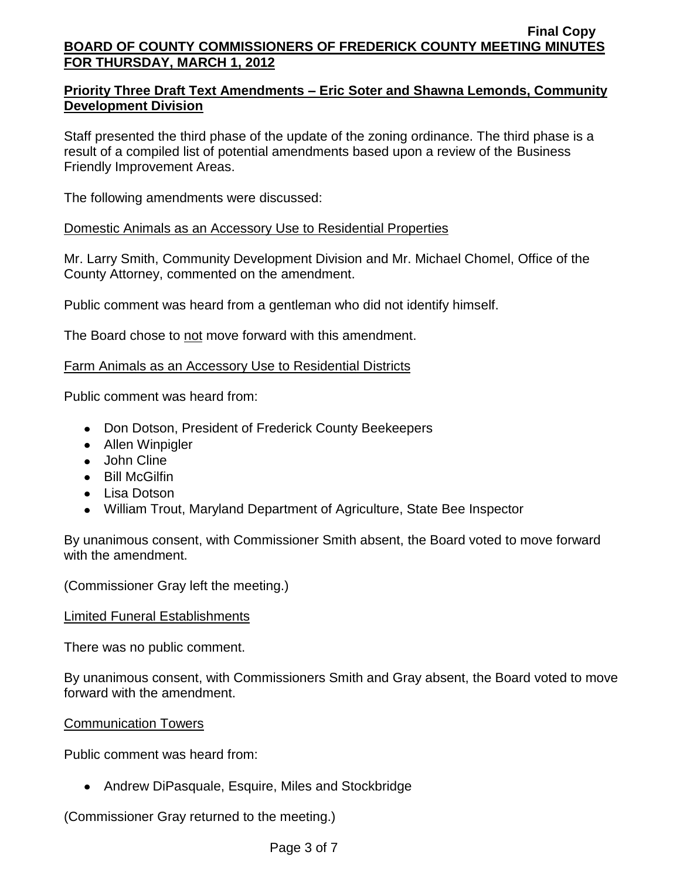## **Priority Three Draft Text Amendments – Eric Soter and Shawna Lemonds, Community Development Division**

Staff presented the third phase of the update of the zoning ordinance. The third phase is a result of a compiled list of potential amendments based upon a review of the Business Friendly Improvement Areas.

The following amendments were discussed:

## Domestic Animals as an Accessory Use to Residential Properties

Mr. Larry Smith, Community Development Division and Mr. Michael Chomel, Office of the County Attorney, commented on the amendment.

Public comment was heard from a gentleman who did not identify himself.

The Board chose to not move forward with this amendment.

## Farm Animals as an Accessory Use to Residential Districts

Public comment was heard from:

- Don Dotson, President of Frederick County Beekeepers
- Allen Winpigler
- John Cline
- Bill McGilfin
- Lisa Dotson
- William Trout, Maryland Department of Agriculture, State Bee Inspector

By unanimous consent, with Commissioner Smith absent, the Board voted to move forward with the amendment.

(Commissioner Gray left the meeting.)

### Limited Funeral Establishments

There was no public comment.

By unanimous consent, with Commissioners Smith and Gray absent, the Board voted to move forward with the amendment.

### Communication Towers

Public comment was heard from:

• Andrew DiPasquale, Esquire, Miles and Stockbridge

(Commissioner Gray returned to the meeting.)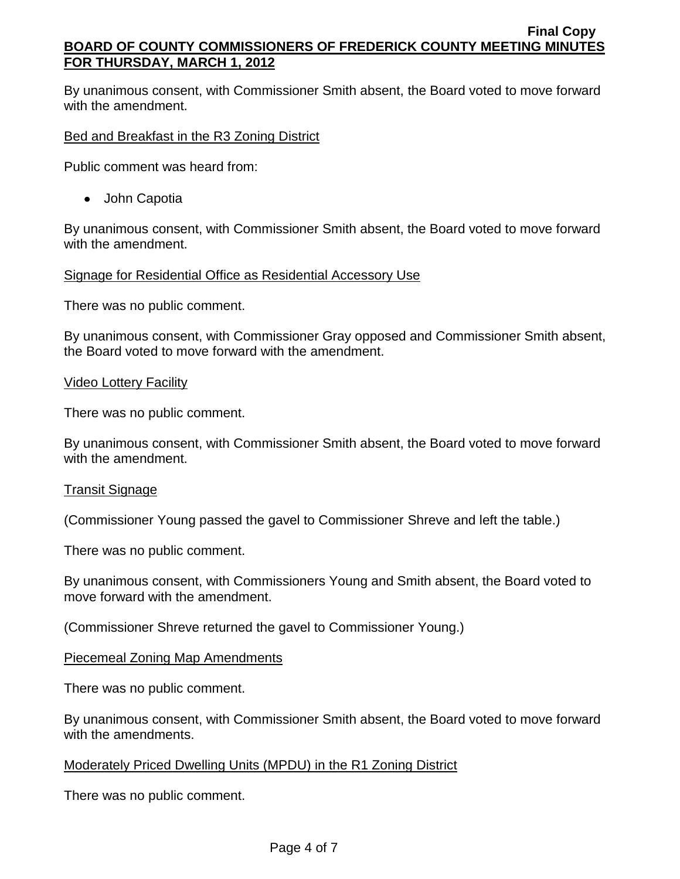By unanimous consent, with Commissioner Smith absent, the Board voted to move forward with the amendment.

Bed and Breakfast in the R3 Zoning District

Public comment was heard from:

• John Capotia

By unanimous consent, with Commissioner Smith absent, the Board voted to move forward with the amendment.

Signage for Residential Office as Residential Accessory Use

There was no public comment.

By unanimous consent, with Commissioner Gray opposed and Commissioner Smith absent, the Board voted to move forward with the amendment.

### Video Lottery Facility

There was no public comment.

By unanimous consent, with Commissioner Smith absent, the Board voted to move forward with the amendment.

### Transit Signage

(Commissioner Young passed the gavel to Commissioner Shreve and left the table.)

There was no public comment.

By unanimous consent, with Commissioners Young and Smith absent, the Board voted to move forward with the amendment.

(Commissioner Shreve returned the gavel to Commissioner Young.)

Piecemeal Zoning Map Amendments

There was no public comment.

By unanimous consent, with Commissioner Smith absent, the Board voted to move forward with the amendments.

Moderately Priced Dwelling Units (MPDU) in the R1 Zoning District

There was no public comment.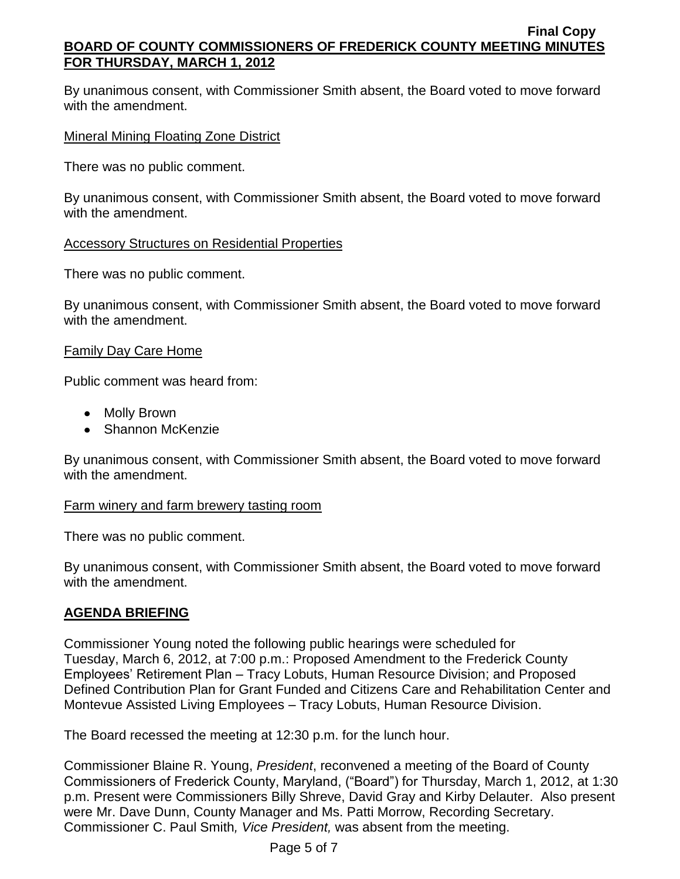By unanimous consent, with Commissioner Smith absent, the Board voted to move forward with the amendment.

## Mineral Mining Floating Zone District

There was no public comment.

By unanimous consent, with Commissioner Smith absent, the Board voted to move forward with the amendment.

### **Accessory Structures on Residential Properties**

There was no public comment.

By unanimous consent, with Commissioner Smith absent, the Board voted to move forward with the amendment.

## Family Day Care Home

Public comment was heard from:

- Molly Brown
- Shannon McKenzie

By unanimous consent, with Commissioner Smith absent, the Board voted to move forward with the amendment.

### Farm winery and farm brewery tasting room

There was no public comment.

By unanimous consent, with Commissioner Smith absent, the Board voted to move forward with the amendment.

# **AGENDA BRIEFING**

Commissioner Young noted the following public hearings were scheduled for Tuesday, March 6, 2012, at 7:00 p.m.: Proposed Amendment to the Frederick County Employees' Retirement Plan – Tracy Lobuts, Human Resource Division; and Proposed Defined Contribution Plan for Grant Funded and Citizens Care and Rehabilitation Center and Montevue Assisted Living Employees – Tracy Lobuts, Human Resource Division.

The Board recessed the meeting at 12:30 p.m. for the lunch hour.

Commissioner Blaine R. Young, *President*, reconvened a meeting of the Board of County Commissioners of Frederick County, Maryland, ("Board") for Thursday, March 1, 2012, at 1:30 p.m. Present were Commissioners Billy Shreve, David Gray and Kirby Delauter. Also present were Mr. Dave Dunn, County Manager and Ms. Patti Morrow, Recording Secretary. Commissioner C. Paul Smith*, Vice President,* was absent from the meeting.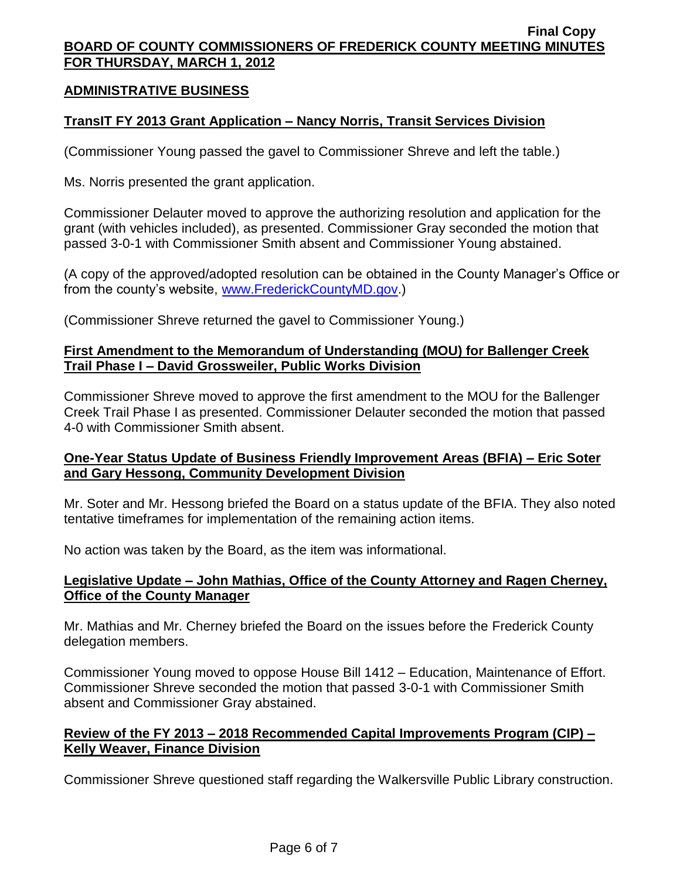### **ADMINISTRATIVE BUSINESS**

### **TransIT FY 2013 Grant Application – Nancy Norris, Transit Services Division**

(Commissioner Young passed the gavel to Commissioner Shreve and left the table.)

Ms. Norris presented the grant application.

Commissioner Delauter moved to approve the authorizing resolution and application for the grant (with vehicles included), as presented. Commissioner Gray seconded the motion that passed 3-0-1 with Commissioner Smith absent and Commissioner Young abstained.

(A copy of the approved/adopted resolution can be obtained in the County Manager's Office or from the county's website, [www.FrederickCountyMD.gov.](http://www.frederickcountymd.gov/))

(Commissioner Shreve returned the gavel to Commissioner Young.)

### **First Amendment to the Memorandum of Understanding (MOU) for Ballenger Creek Trail Phase I – David Grossweiler, Public Works Division**

Commissioner Shreve moved to approve the first amendment to the MOU for the Ballenger Creek Trail Phase I as presented. Commissioner Delauter seconded the motion that passed 4-0 with Commissioner Smith absent.

### **One-Year Status Update of Business Friendly Improvement Areas (BFIA) – Eric Soter and Gary Hessong, Community Development Division**

Mr. Soter and Mr. Hessong briefed the Board on a status update of the BFIA. They also noted tentative timeframes for implementation of the remaining action items.

No action was taken by the Board, as the item was informational.

### **Legislative Update – John Mathias, Office of the County Attorney and Ragen Cherney, Office of the County Manager**

Mr. Mathias and Mr. Cherney briefed the Board on the issues before the Frederick County delegation members.

Commissioner Young moved to oppose House Bill 1412 – Education, Maintenance of Effort. Commissioner Shreve seconded the motion that passed 3-0-1 with Commissioner Smith absent and Commissioner Gray abstained.

### **Review of the FY 2013 – 2018 Recommended Capital Improvements Program (CIP) – Kelly Weaver, Finance Division**

Commissioner Shreve questioned staff regarding the Walkersville Public Library construction.